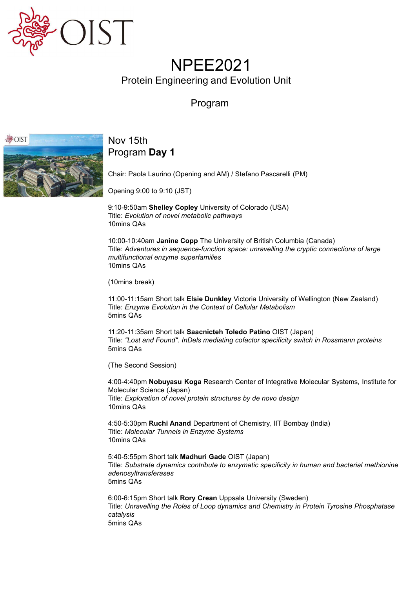

## NPEE2021

Protein Engineering and Evolution Unit

Program



## Nov 15th Program Day 1

Chair: Paola Laurino (Opening and AM) / Stefano Pascarelli (PM)

Opening 9:00 to 9:10 (JST)

9:10-9:50am Shelley Copley University of Colorado (USA) Title: Evolution of novel metabolic pathways 10mins QAs

10:00-10:40am Janine Copp The University of British Columbia (Canada) Title: Adventures in sequence-function space: unravelling the cryptic connections of large multifunctional enzyme superfamilies 10mins QAs Chair: Paola Laurino (Opening and AM) / Stefano Pascarelli (PM)<br>Opening 9:00 to 9:10 (JST)<br>9:10-9:50am **Shelley Copley** University of Colorado (USA)<br>1116: *Evolution of novel metabolic pathways*<br>10:00-10:40am **Janine Copp** 

(10mins break)

11:00-11:15am Short talk Elsie Dunkley Victoria University of Wellington (New Zealand) Title: Enzyme Evolution in the Context of Cellular Metabolism 5mins QAs

11:20-11:35am Short talk Saacnicteh Toledo Patino OIST (Japan) 5mins QAs

(The Second Session)

4:00-4:40pm Nobuyasu Koga Research Center of Integrative Molecular Systems, Institute for Molecular Science (Japan) Title: Exploration of novel protein structures by de novo design 10mins QAs

4:50-5:30pm Ruchi Anand Department of Chemistry, IIT Bombay (India) Title: Molecular Tunnels in Enzyme Systems 10mins QAs

5:40-5:55pm Short talk Madhuri Gade OIST (Japan) Title: Substrate dynamics contribute to enzymatic specificity in human and bacterial methionine adenosyltransferases 5mins QAs

6:00-6:15pm Short talk Rory Crean Uppsala University (Sweden) Title: Unravelling the Roles of Loop dynamics and Chemistry in Protein Tyrosine Phosphatase catalysis 5mins QAs